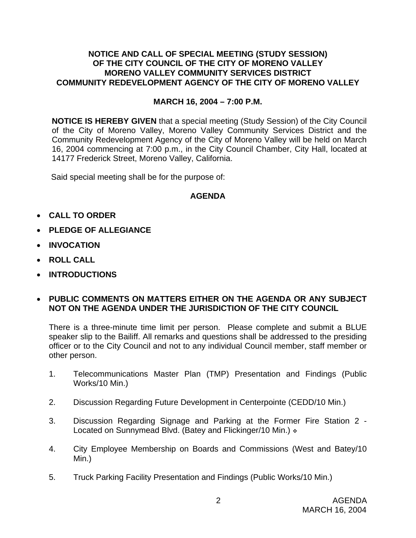### **NOTICE AND CALL OF SPECIAL MEETING (STUDY SESSION) OF THE CITY COUNCIL OF THE CITY OF MORENO VALLEY MORENO VALLEY COMMUNITY SERVICES DISTRICT COMMUNITY REDEVELOPMENT AGENCY OF THE CITY OF MORENO VALLEY**

## **MARCH 16, 2004 – 7:00 P.M.**

**NOTICE IS HEREBY GIVEN** that a special meeting (Study Session) of the City Council of the City of Moreno Valley, Moreno Valley Community Services District and the Community Redevelopment Agency of the City of Moreno Valley will be held on March 16, 2004 commencing at 7:00 p.m., in the City Council Chamber, City Hall, located at 14177 Frederick Street, Moreno Valley, California.

Said special meeting shall be for the purpose of:

# **AGENDA**

- **CALL TO ORDER**
- **PLEDGE OF ALLEGIANCE**
- **INVOCATION**
- **ROLL CALL**
- **INTRODUCTIONS**
- **PUBLIC COMMENTS ON MATTERS EITHER ON THE AGENDA OR ANY SUBJECT NOT ON THE AGENDA UNDER THE JURISDICTION OF THE CITY COUNCIL**

There is a three-minute time limit per person. Please complete and submit a BLUE speaker slip to the Bailiff. All remarks and questions shall be addressed to the presiding officer or to the City Council and not to any individual Council member, staff member or other person.

- 1. Telecommunications Master Plan (TMP) Presentation and Findings (Public Works/10 Min.)
- 2. Discussion Regarding Future Development in Centerpointe (CEDD/10 Min.)
- 3. Discussion Regarding Signage and Parking at the Former Fire Station 2 Located on Sunnymead Blvd. (Batey and Flickinger/10 Min.)  $\cdot$
- 4. City Employee Membership on Boards and Commissions (West and Batey/10 Min.)
- 5. Truck Parking Facility Presentation and Findings (Public Works/10 Min.)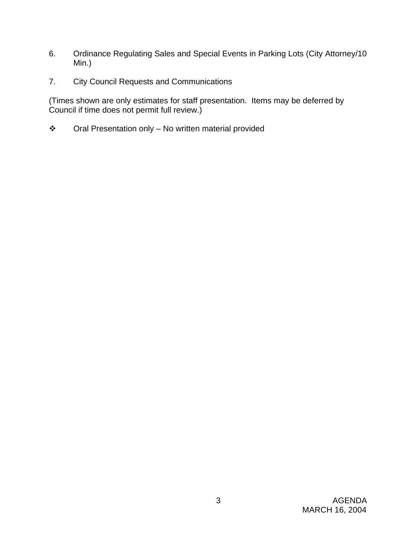- 6. Ordinance Regulating Sales and Special Events in Parking Lots (City Attorney/10 Min.)
- 7. City Council Requests and Communications

(Times shown are only estimates for staff presentation. Items may be deferred by Council if time does not permit full review.)

Oral Presentation only – No written material provided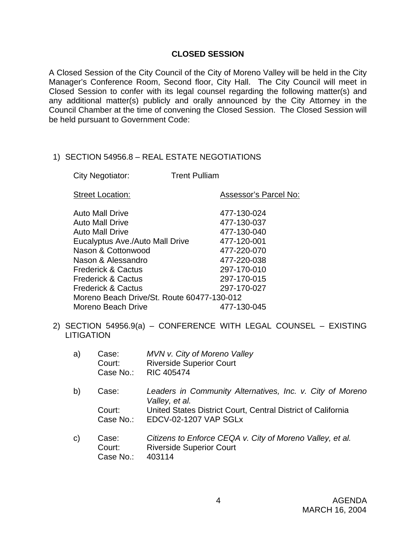### **CLOSED SESSION**

A Closed Session of the City Council of the City of Moreno Valley will be held in the City Manager's Conference Room, Second floor, City Hall. The City Council will meet in Closed Session to confer with its legal counsel regarding the following matter(s) and any additional matter(s) publicly and orally announced by the City Attorney in the Council Chamber at the time of convening the Closed Session. The Closed Session will be held pursuant to Government Code:

## 1) SECTION 54956.8 – REAL ESTATE NEGOTIATIONS

|  | City Negotiator: | <b>Trent Pulliam</b> |
|--|------------------|----------------------|
|--|------------------|----------------------|

| <b>Street Location:</b>                    | Assessor's Parcel No: |  |
|--------------------------------------------|-----------------------|--|
| <b>Auto Mall Drive</b>                     | 477-130-024           |  |
|                                            |                       |  |
| <b>Auto Mall Drive</b>                     | 477-130-037           |  |
| <b>Auto Mall Drive</b>                     | 477-130-040           |  |
| Eucalyptus Ave./Auto Mall Drive            | 477-120-001           |  |
| Nason & Cottonwood                         | 477-220-070           |  |
| Nason & Alessandro                         | 477-220-038           |  |
| <b>Frederick &amp; Cactus</b>              | 297-170-010           |  |
| <b>Frederick &amp; Cactus</b>              | 297-170-015           |  |
| <b>Frederick &amp; Cactus</b>              | 297-170-027           |  |
| Moreno Beach Drive/St. Route 60477-130-012 |                       |  |
| Moreno Beach Drive                         | 477-130-045           |  |

2) SECTION 54956.9(a) – CONFERENCE WITH LEGAL COUNSEL – EXISTING **LITIGATION** 

| a)            | Case:<br>Court:<br>Case No.: | MVN v. City of Moreno Valley<br><b>Riverside Superior Court</b><br><b>RIC 405474</b>         |
|---------------|------------------------------|----------------------------------------------------------------------------------------------|
| b)            | Case:                        | Leaders in Community Alternatives, Inc. v. City of Moreno<br>Valley, et al.                  |
|               | Court:<br>Case No.:          | United States District Court, Central District of California<br><b>EDCV-02-1207 VAP SGLx</b> |
| $\mathcal{C}$ | Case:                        | Citizens to Enforce CEOA y, City of Moreno Valley, et al.                                    |

c) Case: *Citizens to Enforce CEQA v. City of Moreno Valley, et al.*  Court: Riverside Superior Court Case No.: 403114